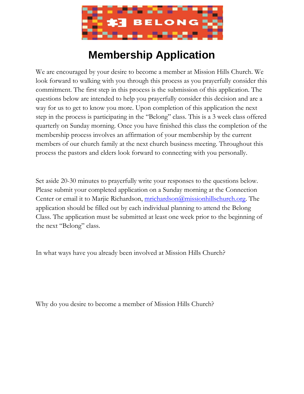

## **Membership Application**

We are encouraged by your desire to become a member at Mission Hills Church. We look forward to walking with you through this process as you prayerfully consider this commitment. The first step in this process is the submission of this application. The questions below are intended to help you prayerfully consider this decision and are a way for us to get to know you more. Upon completion of this application the next step in the process is participating in the "Belong" class. This is a 3 week class offered quarterly on Sunday morning. Once you have finished this class the completion of the membership process involves an affirmation of your membership by the current members of our church family at the next church business meeting. Throughout this process the pastors and elders look forward to connecting with you personally.

Set aside 20-30 minutes to prayerfully write your responses to the questions below. Please submit your completed application on a Sunday morning at the Connection Center or email it to Marjie Richardson, [mrichardson@missionhillschurch.org.](mailto:mrichardson@missionhillschurch.org) The application should be filled out by each individual planning to attend the Belong Class. The application must be submitted at least one week prior to the beginning of the next "Belong" class.

In what ways have you already been involved at Mission Hills Church?

Why do you desire to become a member of Mission Hills Church?